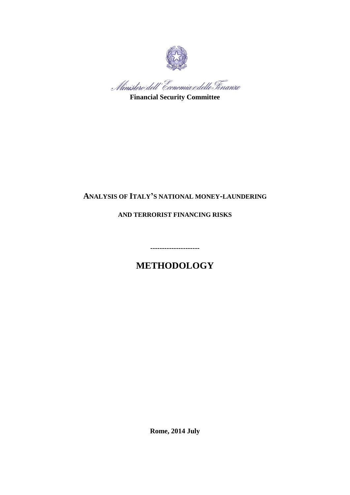

Ministero dell'Economia e delle Tinanze

**Financial Security Committee**

# **ANALYSIS OF ITALY'S NATIONAL MONEY-LAUNDERING**

**AND TERRORIST FINANCING RISKS**

**METHODOLOGY**

**---------------------**

**Rome, 2014 July**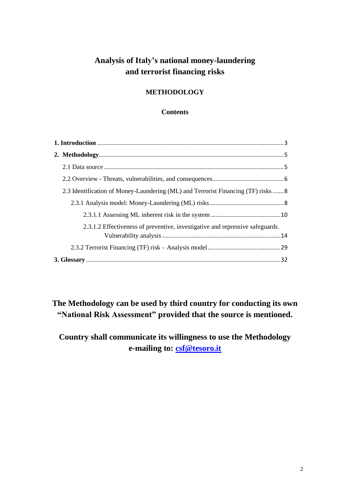# **Analysis of Italy's national money-laundering and terrorist financing risks**

# **METHODOLOGY**

### **Contents**

| 2.3 Identification of Money-Laundering (ML) and Terrorist Financing (TF) risks 8 |  |  |  |  |
|----------------------------------------------------------------------------------|--|--|--|--|
|                                                                                  |  |  |  |  |
|                                                                                  |  |  |  |  |
| 2.3.1.2 Effectiveness of preventive, investigative and repressive safeguards.    |  |  |  |  |
|                                                                                  |  |  |  |  |
|                                                                                  |  |  |  |  |

**The Methodology can be used by third country for conducting its own "National Risk Assessment" provided that the source is mentioned.**

**Country shall communicate its willingness to use the Methodology e-mailing to: [csf@tesoro.it](mailto:csf@tesoro.it)**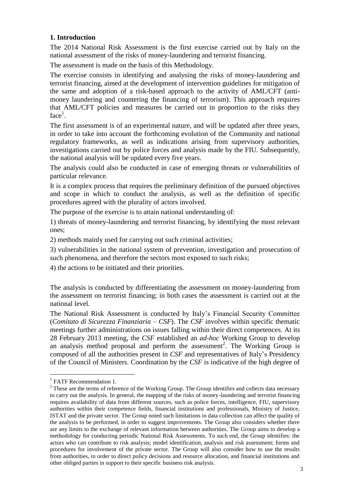## <span id="page-2-0"></span>**1. Introduction**

The 2014 National Risk Assessment is the first exercise carried out by Italy on the national assessment of the risks of money-laundering and terrorist financing.

The assessment is made on the basis of this Methodology.

The exercise consists in identifying and analysing the risks of money-laundering and terrorist financing, aimed at the development of intervention guidelines for mitigation of the same and adoption of a risk-based approach to the activity of AML/CFT (antimoney laundering and countering the financing of terrorism). This approach requires that AML/CFT policies and measures be carried out in proportion to the risks they  $face<sup>1</sup>$ .

The first assessment is of an experimental nature, and will be updated after three years, in order to take into account the forthcoming evolution of the Community and national regulatory frameworks, as well as indications arising from supervisory authorities, investigations carried out by police forces and analysis made by the FIU. Subsequently, the national analysis will be updated every five years.

The analysis could also be conducted in case of emerging threats or vulnerabilities of particular relevance.

It is a complex process that requires the preliminary definition of the pursued objectives and scope in which to conduct the analysis, as well as the definition of specific procedures agreed with the plurality of actors involved.

The purpose of the exercise is to attain national understanding of:

1) threats of money-laundering and terrorist financing, by identifying the most relevant ones;

2) methods mainly used for carrying out such criminal activities;

3) vulnerabilities in the national system of prevention, investigation and prosecution of such phenomena, and therefore the sectors most exposed to such risks;

4) the actions to be initiated and their priorities.

The analysis is conducted by differentiating the assessment on money-laundering from the assessment on terrorist financing; in both cases the assessment is carried out at the national level.

The National Risk Assessment is conducted by Italy's Financial Security Committee (*Comitato di Sicurezza Finanziaria – CSF*). The *CSF* involves within specific thematic meetings further administrations on issues falling within their direct competences. At its 28 February 2013 meeting, the *CSF* established an *ad-hoc* Working Group to develop an analysis method proposal and perform the assessment<sup>2</sup>. The Working Group is composed of all the authorities present in *CSF* and representatives of Italy's Presidency of the Council of Ministers. Coordination by the *CSF* is indicative of the high degree of

**.** 

<sup>&</sup>lt;sup>1</sup> FATF Recommendation 1.

<sup>&</sup>lt;sup>2</sup> These are the terms of reference of the Working Group. The Group identifies and collects data necessary to carry out the analysis. In general, the mapping of the risks of money-laundering and terrorist financing requires availability of data from different sources, such as police forces, intelligence, FIU, supervisory authorities within their competence fields, financial institutions and professionals, Ministry of Justice, ISTAT and the private sector. The Group noted such limitations in data collection can affect the quality of the analysis to be performed, in order to suggest improvements. The Group also considers whether there are any limits to the exchange of relevant information between authorities. The Group aims to develop a methodology for conducting periodic National Risk Assessments. To such end, the Group identifies: the actors who can contribute to risk analysis; model identification, analysis and risk assessment; forms and procedures for involvement of the private sector. The Group will also consider how to use the results from authorities, in order to direct policy decisions and resource allocation, and financial institutions and other obliged parties in support to their specific business risk analysis.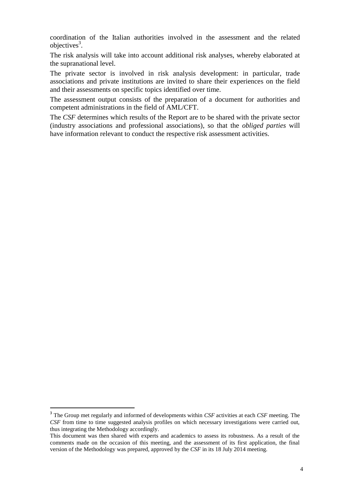coordination of the Italian authorities involved in the assessment and the related objectives<sup>3</sup>.

The risk analysis will take into account additional risk analyses, whereby elaborated at the supranational level.

The private sector is involved in risk analysis development: in particular, trade associations and private institutions are invited to share their experiences on the field and their assessments on specific topics identified over time.

The assessment output consists of the preparation of a document for authorities and competent administrations in the field of AML/CFT.

The *CSF* determines which results of the Report are to be shared with the private sector (industry associations and professional associations), so that the *obliged parties* will have information relevant to conduct the respective risk assessment activities.

 $\overline{\phantom{a}}$ 

<sup>3</sup> The Group met regularly and informed of developments within *CSF* activities at each *CSF* meeting. The *CSF* from time to time suggested analysis profiles on which necessary investigations were carried out, thus integrating the Methodology accordingly.

This document was then shared with experts and academics to assess its robustness. As a result of the comments made on the occasion of this meeting, and the assessment of its first application, the final version of the Methodology was prepared, approved by the *CSF* in its 18 July 2014 meeting.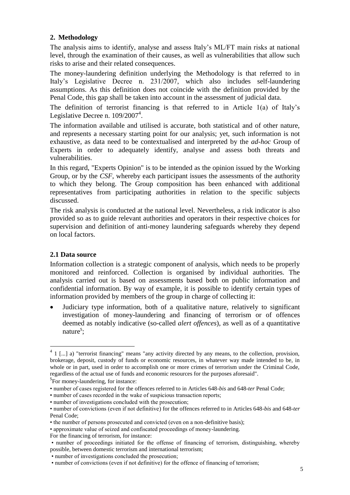# <span id="page-4-0"></span>**2. Methodology**

The analysis aims to identify, analyse and assess Italy's ML/FT main risks at national level, through the examination of their causes, as well as vulnerabilities that allow such risks to arise and their related consequences.

The money-laundering definition underlying the Methodology is that referred to in Italy's Legislative Decree n. 231/2007, which also includes self-laundering assumptions. As this definition does not coincide with the definition provided by the Penal Code, this gap shall be taken into account in the assessment of judicial data.

The definition of terrorist financing is that referred to in Article 1(a) of Italy's Legislative Decree n. 109/2007<sup>4</sup>.

The information available and utilised is accurate, both statistical and of other nature, and represents a necessary starting point for our analysis; yet, such information is not exhaustive, as data need to be contextualised and interpreted by the *ad-hoc* Group of Experts in order to adequately identify, analyse and assess both threats and vulnerabilities.

In this regard, "Experts Opinion" is to be intended as the opinion issued by the Working Group, or by the *CSF*, whereby each participant issues the assessments of the authority to which they belong. The Group composition has been enhanced with additional representatives from participating authorities in relation to the specific subjects discussed.

The risk analysis is conducted at the national level. Nevertheless, a risk indicator is also provided so as to guide relevant authorities and operators in their respective choices for supervision and definition of anti-money laundering safeguards whereby they depend on local factors.

## <span id="page-4-1"></span>**2.1 Data source**

Information collection is a strategic component of analysis, which needs to be properly monitored and reinforced. Collection is organised by individual authorities. The analysis carried out is based on assessments based both on public information and confidential information. By way of example, it is possible to identify certain types of information provided by members of the group in charge of collecting it:

 Judiciary type information, both of a qualitative nature, relatively to significant investigation of money-laundering and financing of terrorism or of offences deemed as notably indicative (so-called *alert offences*), as well as of a quantitative nature<sup>5</sup>;

 $\frac{4}{1}$  [...] a) "terrorist financing" means "any activity directed by any means, to the collection, provision, brokerage, deposit, custody of funds or economic resources, in whatever way made intended to be, in whole or in part, used in order to accomplish one or more crimes of terrorism under the Criminal Code, regardless of the actual use of funds and economic resources for the purposes aforesaid".

<sup>&</sup>lt;sup>5</sup>For money-laundering, for instance:

<sup>•</sup> number of cases registered for the offences referred to in Articles 648-*bis* and 648-*ter* Penal Code;

<sup>•</sup> number of cases recorded in the wake of suspicious transaction reports;

<sup>•</sup> number of investigations concluded with the prosecution;

<sup>•</sup> number of convictions (even if not definitive) for the offences referred to in Articles 648-*bis* and 648-*ter* Penal Code;

<sup>•</sup> the number of persons prosecuted and convicted (even on a non-definitive basis);

<sup>•</sup> approximate value of seized and confiscated proceedings of money-laundering.

For the financing of terrorism, for instance:

<sup>•</sup> number of proceedings initiated for the offense of financing of terrorism, distinguishing, whereby possible, between domestic terrorism and international terrorism;

<sup>•</sup> number of investigations concluded the prosecution;

<sup>•</sup> number of convictions (even if not definitive) for the offence of financing of terrorism;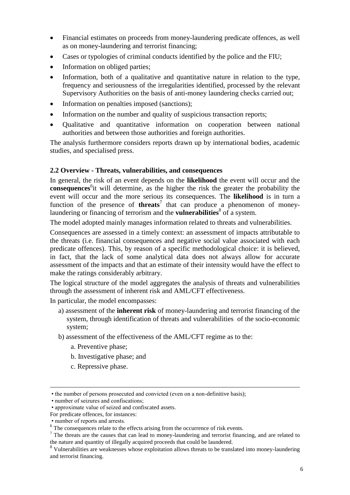- Financial estimates on proceeds from money-laundering predicate offences, as well as on money-laundering and terrorist financing;
- Cases or typologies of criminal conducts identified by the police and the FIU;
- Information on obliged parties;
- Information, both of a qualitative and quantitative nature in relation to the type, frequency and seriousness of the irregularities identified, processed by the relevant Supervisory Authorities on the basis of anti-money laundering checks carried out;
- Information on penalties imposed (sanctions);
- Information on the number and quality of suspicious transaction reports;
- Qualitative and quantitative information on cooperation between national authorities and between those authorities and foreign authorities.

The analysis furthermore considers reports drawn up by international bodies, academic studies, and specialised press.

### <span id="page-5-0"></span>**2.2 Overview - Threats, vulnerabilities, and consequences**

In general, the risk of an event depends on the **likelihood** the event will occur and the consequences<sup>6</sup>it will determine, as the higher the risk the greater the probability the event will occur and the more serious its consequences. The **likelihood** is in turn a function of the presence of **threats**<sup>7</sup> that can produce a phenomenon of moneylaundering or financing of terrorism and the **vulnerabilities**<sup>8</sup> of a system.

The model adopted mainly manages information related to threats and vulnerabilities.

Consequences are assessed in a timely context: an assessment of impacts attributable to the threats (i.e. financial consequences and negative social value associated with each predicate offences). This, by reason of a specific methodological choice: it is believed, in fact, that the lack of some analytical data does not always allow for accurate assessment of the impacts and that an estimate of their intensity would have the effect to make the ratings considerably arbitrary.

The logical structure of the model aggregates the analysis of threats and vulnerabilities through the assessment of inherent risk and AML/CFT effectiveness.

In particular, the model encompasses:

- a) assessment of the **inherent risk** of money-laundering and terrorist financing of the system, through identification of threats and vulnerabilities of the socio-economic system;
- b) assessment of the effectiveness of the AML/CFT regime as to the:
	- a. Preventive phase;
	- b. Investigative phase; and
	- c. Repressive phase.

1

<sup>•</sup> the number of persons prosecuted and convicted (even on a non-definitive basis);

<sup>•</sup> number of seizures and confiscations;

<sup>•</sup> approximate value of seized and confiscated assets.

For predicate offences, for instances:

<sup>•</sup> number of reports and arrests.

<sup>&</sup>lt;sup>6</sup> The consequences relate to the effects arising from the occurrence of risk events.

<sup>&</sup>lt;sup>7</sup> The threats are the causes that can lead to money-laundering and terrorist financing, and are related to the nature and quantity of illegally acquired proceeds that could be laundered.

<sup>&</sup>lt;sup>8</sup> Vulnerabilities are weaknesses whose exploitation allows threats to be translated into money-laundering and terrorist financing.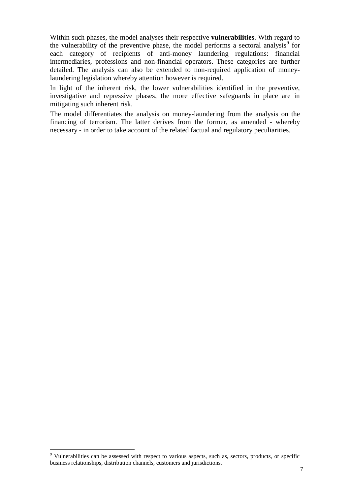Within such phases, the model analyses their respective **vulnerabilities**. With regard to the vulnerability of the preventive phase, the model performs a sectoral analysis<sup>9</sup> for each category of recipients of anti-money laundering regulations: financial intermediaries, professions and non-financial operators. These categories are further detailed. The analysis can also be extended to non-required application of moneylaundering legislation whereby attention however is required.

In light of the inherent risk, the lower vulnerabilities identified in the preventive, investigative and repressive phases, the more effective safeguards in place are in mitigating such inherent risk.

The model differentiates the analysis on money-laundering from the analysis on the financing of terrorism. The latter derives from the former, as amended - whereby necessary - in order to take account of the related factual and regulatory peculiarities.

**.** 

<sup>&</sup>lt;sup>9</sup> Vulnerabilities can be assessed with respect to various aspects, such as, sectors, products, or specific business relationships, distribution channels, customers and jurisdictions.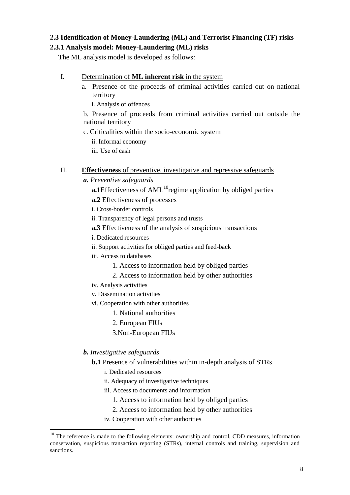# <span id="page-7-0"></span>**2.3 Identification of Money-Laundering (ML) and Terrorist Financing (TF) risks**

### <span id="page-7-1"></span>**2.3.1 Analysis model: Money-Laundering (ML) risks**

The ML analysis model is developed as follows:

### I. Determination of **ML inherent risk** in the system

- a. Presence of the proceeds of criminal activities carried out on national territory
	- i. Analysis of offences

b. Presence of proceeds from criminal activities carried out outside the national territory

c. Criticalities within the socio-economic system

ii. Informal economy

iii. Use of cash

### II. **Effectiveness** of preventive, investigative and repressive safeguards

- *a. Preventive safeguards*
	- **a.1**Effectiveness of AML<sup>10</sup>regime application by obliged parties
	- **a.2** Effectiveness of processes
	- i. Cross-border controls
	- ii. Transparency of legal persons and trusts
	- **a.3** Effectiveness of the analysis of suspicious transactions
	- i. Dedicated resources
	- ii. Support activities for obliged parties and feed-back
	- iii. Access to databases
		- 1. Access to information held by obliged parties
		- 2. Access to information held by other authorities
	- iv. Analysis activities
	- v. Dissemination activities
	- vi. Cooperation with other authorities
		- 1. National authorities
		- 2. European FIUs
		- 3.Non-European FIUs

### *b. Investigative safeguards*

 $\overline{\phantom{a}}$ 

- **b.1** Presence of vulnerabilities within in-depth analysis of STRs
	- i. Dedicated resources
	- ii. Adequacy of investigative techniques
	- iii. Access to documents and information
		- 1. Access to information held by obliged parties
		- 2. Access to information held by other authorities
	- iv. Cooperation with other authorities

<sup>&</sup>lt;sup>10</sup> The reference is made to the following elements: ownership and control, CDD measures, information conservation, suspicious transaction reporting (STRs), internal controls and training, supervision and sanctions.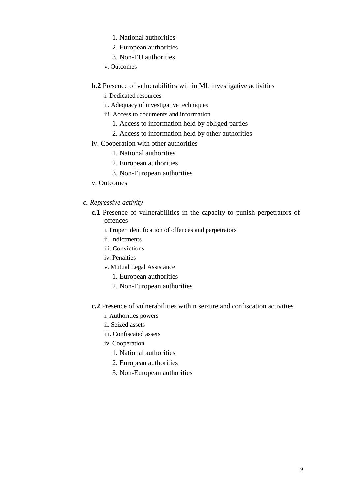- 1. National authorities
- 2. European authorities
- 3. Non-EU authorities
- v. Outcomes
- **b.2** Presence of vulnerabilities within ML investigative activities
	- i. Dedicated resources
	- ii. Adequacy of investigative techniques
	- iii. Access to documents and information
		- 1. Access to information held by obliged parties
		- 2. Access to information held by other authorities
- iv. Cooperation with other authorities
	- 1. National authorities
	- 2. European authorities
	- 3. Non-European authorities
- v. Outcomes
- *c. Repressive activity*
	- **c.1** Presence of vulnerabilities in the capacity to punish perpetrators of offences
		- i. Proper identification of offences and perpetrators
		- ii. Indictments
		- iii. Convictions
		- iv. Penalties
		- v. Mutual Legal Assistance
			- 1. European authorities
			- 2. Non-European authorities
	- **c.2** Presence of vulnerabilities within seizure and confiscation activities
		- i. Authorities powers
		- ii. Seized assets
		- iii. Confiscated assets
		- iv. Cooperation
			- 1. National authorities
			- 2. European authorities
			- 3. Non-European authorities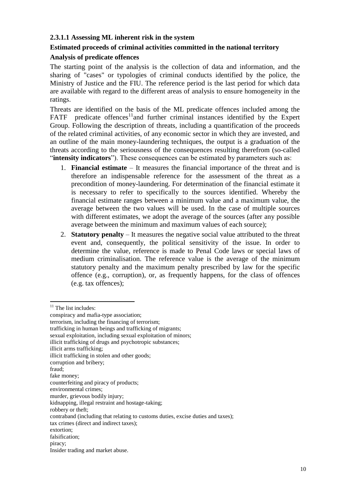### <span id="page-9-0"></span>**2.3.1.1 Assessing ML inherent risk in the system**

### **Estimated proceeds of criminal activities committed in the national territory**

### **Analysis of predicate offences**

The starting point of the analysis is the collection of data and information, and the sharing of "cases" or typologies of criminal conducts identified by the police, the Ministry of Justice and the FIU. The reference period is the last period for which data are available with regard to the different areas of analysis to ensure homogeneity in the ratings.

Threats are identified on the basis of the ML predicate offences included among the  $FATF$  predicate offences<sup>11</sup>and further criminal instances identified by the Expert Group. Following the description of threats, including a quantification of the proceeds of the related criminal activities, of any economic sector in which they are invested, and an outline of the main money-laundering techniques, the output is a graduation of the threats according to the seriousness of the consequences resulting therefrom (so-called "**intensity indicators**"). These consequences can be estimated by parameters such as:

- 1. **Financial estimate** It measures the financial importance of the threat and is therefore an indispensable reference for the assessment of the threat as a precondition of money-laundering. For determination of the financial estimate it is necessary to refer to specifically to the sources identified. Whereby the financial estimate ranges between a minimum value and a maximum value, the average between the two values will be used. In the case of multiple sources with different estimates, we adopt the average of the sources (after any possible average between the minimum and maximum values of each source);
- 2. **Statutory penalty** It measures the negative social value attributed to the threat event and, consequently, the political sensitivity of the issue. In order to determine the value, reference is made to Penal Code laws or special laws of medium criminalisation. The reference value is the average of the minimum statutory penalty and the maximum penalty prescribed by law for the specific offence (e.g., corruption), or, as frequently happens, for the class of offences (e.g. tax offences);

**.** 

 $11$  The list includes:

conspiracy and mafia-type association;

terrorism, including the financing of terrorism;

trafficking in human beings and trafficking of migrants;

sexual exploitation, including sexual exploitation of minors;

illicit trafficking of drugs and psychotropic substances;

illicit arms trafficking;

illicit trafficking in stolen and other goods;

corruption and bribery;

fraud;

fake money;

counterfeiting and piracy of products;

environmental crimes;

murder, grievous bodily injury;

kidnapping, illegal restraint and hostage-taking;

robbery or theft;

contraband (including that relating to customs duties, excise duties and taxes);

tax crimes (direct and indirect taxes);

extortion;

falsification;

piracy;

Insider trading and market abuse.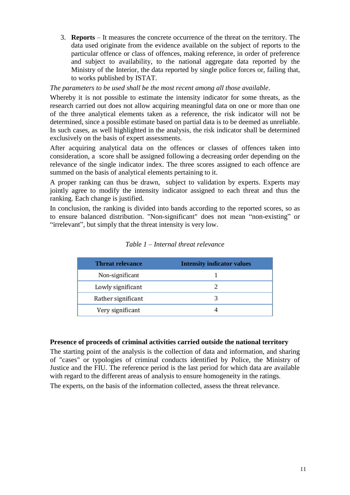3. **Reports** – It measures the concrete occurrence of the threat on the territory. The data used originate from the evidence available on the subject of reports to the particular offence or class of offences, making reference, in order of preference and subject to availability, to the national aggregate data reported by the Ministry of the Interior, the data reported by single police forces or, failing that, to works published by ISTAT.

### *The parameters to be used shall be the most recent among all those available*.

Whereby it is not possible to estimate the intensity indicator for some threats, as the research carried out does not allow acquiring meaningful data on one or more than one of the three analytical elements taken as a reference, the risk indicator will not be determined, since a possible estimate based on partial data is to be deemed as unreliable. In such cases, as well highlighted in the analysis, the risk indicator shall be determined exclusively on the basis of expert assessments.

After acquiring analytical data on the offences or classes of offences taken into consideration, a score shall be assigned following a decreasing order depending on the relevance of the single indicator index. The three scores assigned to each offence are summed on the basis of analytical elements pertaining to it.

A proper ranking can thus be drawn, subject to validation by experts. Experts may jointly agree to modify the intensity indicator assigned to each threat and thus the ranking. Each change is justified.

In conclusion, the ranking is divided into bands according to the reported scores, so as to ensure balanced distribution. "Non-significant" does not mean "non-existing" or "irrelevant", but simply that the threat intensity is very low.

| <b>Threat relevance</b> | <b>Intensity indicator values</b> |
|-------------------------|-----------------------------------|
| Non-significant         |                                   |
| Lowly significant       |                                   |
| Rather significant      |                                   |
| Very significant        |                                   |

### *Table 1 – Internal threat relevance*

#### **Presence of proceeds of criminal activities carried outside the national territory**

The starting point of the analysis is the collection of data and information, and sharing of "cases" or typologies of criminal conducts identified by Police, the Ministry of Justice and the FIU. The reference period is the last period for which data are available with regard to the different areas of analysis to ensure homogeneity in the ratings.

The experts, on the basis of the information collected, assess the threat relevance.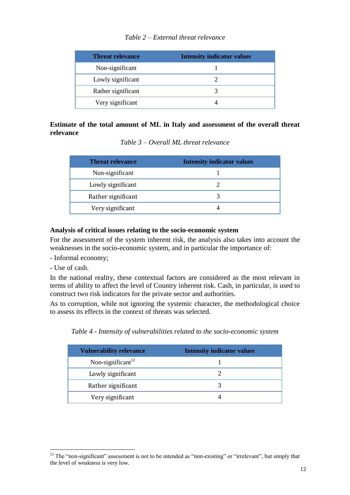# *Table 2 – External threat relevance*

| <b>Threat relevance</b> | <b>Intensity indicator values</b> |
|-------------------------|-----------------------------------|
| Non-significant         |                                   |
| Lowly significant       |                                   |
| Rather significant      |                                   |
| Very significant        |                                   |

# **Estimate of the total amount of ML in Italy and assessment of the overall threat relevance**

*Table 3 – Overall ML threat relevance*

| <b>Threat relevance</b> | <b>Intensity indicator values</b> |
|-------------------------|-----------------------------------|
| Non-significant         |                                   |
| Lowly significant       |                                   |
| Rather significant      |                                   |
| Very significant        |                                   |

# **Analysis of critical issues relating to the socio-economic system**

For the assessment of the system inherent risk, the analysis also takes into account the weaknesses in the socio-economic system, and in particular the importance of:

- Informal economy;
- Use of cash.

**.** 

In the national reality, these contextual factors are considered as the most relevant in terms of ability to affect the level of Country inherent risk. Cash, in particular, is used to construct two risk indicators for the private sector and authorities.

As to corruption, while not ignoring the systemic character, the methodological choice to assess its effects in the context of threats was selected.

*Table 4 - Intensity of vulnerabilities related to the socio-economic system*

| <b>Vulnerability relevance</b> | <b>Intensity indicator values</b> |
|--------------------------------|-----------------------------------|
| Non-significant <sup>12</sup>  |                                   |
| Lowly significant              |                                   |
| Rather significant             |                                   |
| Very significant               |                                   |

 $12$  The "non-significant" assessment is not to be intended as "non-existing" or "irrelevant", but simply that the level of weakness is very low.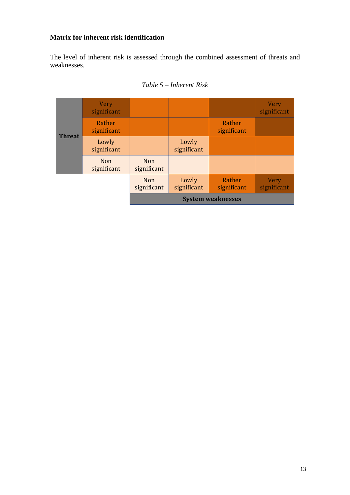# **Matrix for inherent risk identification**

The level of inherent risk is assessed through the combined assessment of threats and weaknesses.

|               | <b>Very</b><br>significant |                           |                      |                          | <b>Very</b><br>significant |
|---------------|----------------------------|---------------------------|----------------------|--------------------------|----------------------------|
| <b>Threat</b> | Rather<br>significant      |                           |                      | Rather<br>significant    |                            |
|               | Lowly<br>significant       |                           | Lowly<br>significant |                          |                            |
|               | <b>Non</b><br>significant  | <b>Non</b><br>significant |                      |                          |                            |
|               |                            | <b>Non</b><br>significant | Lowly<br>significant | Rather<br>significant    | <b>Very</b><br>significant |
|               |                            |                           |                      | <b>System weaknesses</b> |                            |

# *Table 5 – Inherent Risk*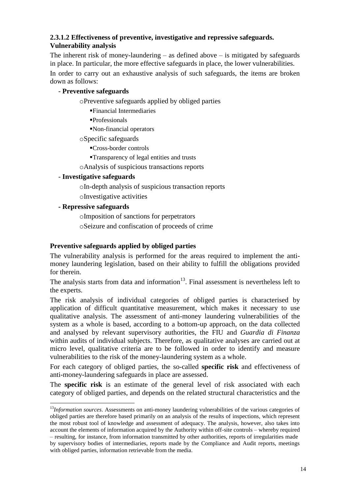# <span id="page-13-0"></span>**2.3.1.2 Effectiveness of preventive, investigative and repressive safeguards. Vulnerability analysis**

The inherent risk of money-laundering – as defined above – is mitigated by safeguards in place. In particular, the more effective safeguards in place, the lower vulnerabilities.

In order to carry out an exhaustive analysis of such safeguards, the items are broken down as follows:

# - **Preventive safeguards**

oPreventive safeguards applied by obliged parties

Financial Intermediaries

Professionals

Non-financial operators

oSpecific safeguards

Cross-border controls

Transparency of legal entities and trusts

oAnalysis of suspicious transactions reports

# - **Investigative safeguards**

oIn-depth analysis of suspicious transaction reports

oInvestigative activities

## **- Repressive safeguards**

oImposition of sanctions for perpetrators

oSeizure and confiscation of proceeds of crime

# **Preventive safeguards applied by obliged parties**

The vulnerability analysis is performed for the areas required to implement the antimoney laundering legislation, based on their ability to fulfill the obligations provided for therein.

The analysis starts from data and information $13$ . Final assessment is nevertheless left to the experts.

The risk analysis of individual categories of obliged parties is characterised by application of difficult quantitative measurement, which makes it necessary to use qualitative analysis. The assessment of anti-money laundering vulnerabilities of the system as a whole is based, according to a bottom-up approach, on the data collected and analysed by relevant supervisory authorities, the FIU and *Guardia di Finanza* within audits of individual subjects. Therefore, as qualitative analyses are carried out at micro level, qualitative criteria are to be followed in order to identify and measure vulnerabilities to the risk of the money-laundering system as a whole.

For each category of obliged parties, the so-called **specific risk** and effectiveness of anti-money-laundering safeguards in place are assessed.

The **specific risk** is an estimate of the general level of risk associated with each category of obliged parties, and depends on the related structural characteristics and the

**<sup>.</sup>** <sup>13</sup>*Information sources*. Assessments on anti-money laundering vulnerabilities of the various categories of obliged parties are therefore based primarily on an analysis of the results of inspections, which represent the most robust tool of knowledge and assessment of adequacy. The analysis, however, also takes into account the elements of information acquired by the Authority within off-site controls – whereby required – resulting, for instance, from information transmitted by other authorities, reports of irregularities made by supervisory bodies of intermediaries, reports made by the Compliance and Audit reports, meetings with obliged parties, information retrievable from the media.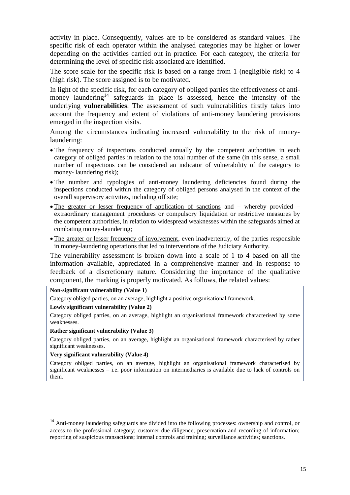activity in place. Consequently, values are to be considered as standard values. The specific risk of each operator within the analysed categories may be higher or lower depending on the activities carried out in practice. For each category, the criteria for determining the level of specific risk associated are identified.

The score scale for the specific risk is based on a range from 1 (negligible risk) to 4 (high risk). The score assigned is to be motivated.

In light of the specific risk, for each category of obliged parties the effectiveness of antimoney laundering<sup>14</sup> safeguards in place is assessed, hence the intensity of the underlying **vulnerabilities**. The assessment of such vulnerabilities firstly takes into account the frequency and extent of violations of anti-money laundering provisions emerged in the inspection visits.

Among the circumstances indicating increased vulnerability to the risk of moneylaundering:

- The frequency of inspections conducted annually by the competent authorities in each category of obliged parties in relation to the total number of the same (in this sense, a small number of inspections can be considered an indicator of vulnerability of the category to money- laundering risk);
- The number and typologies of anti-money laundering deficiencies found during the inspections conducted within the category of obliged persons analysed in the context of the overall supervisory activities, including off site;
- The greater or lesser frequency of application of sanctions and  $-$  whereby provided  $$ extraordinary management procedures or compulsory liquidation or restrictive measures by the competent authorities, in relation to widespread weaknesses within the safeguards aimed at combating money-laundering;
- The greater or lesser frequency of involvement, even inadvertently, of the parties responsible in money-laundering operations that led to interventions of the Judiciary Authority.

The vulnerability assessment is broken down into a scale of 1 to 4 based on all the information available, appreciated in a comprehensive manner and in response to feedback of a discretionary nature. Considering the importance of the qualitative component, the marking is properly motivated. As follows, the related values:

#### **Non-significant vulnerability (Value 1)**

Category obliged parties, on an average, highlight a positive organisational framework.

### **Lowly significant vulnerability (Value 2)**

Category obliged parties, on an average, highlight an organisational framework characterised by some weaknesses.

#### **Rather significant vulnerability (Value 3)**

Category obliged parties, on an average, highlight an organisational framework characterised by rather significant weaknesses.

#### **Very significant vulnerability (Value 4)**

1

Category obliged parties, on an average, highlight an organisational framework characterised by significant weaknesses – i.e. poor information on intermediaries is available due to lack of controls on them.

<sup>&</sup>lt;sup>14</sup> Anti-money laundering safeguards are divided into the following processes: ownership and control, or access to the professional category; customer due diligence; preservation and recording of information; reporting of suspicious transactions; internal controls and training; surveillance activities; sanctions.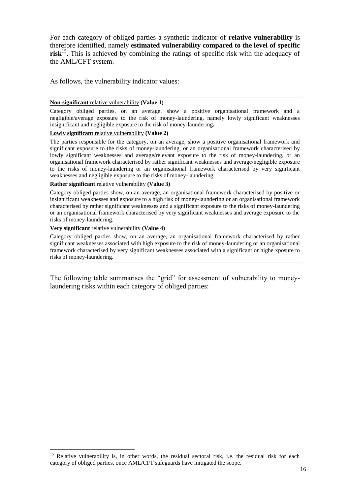For each category of obliged parties a synthetic indicator of **relative vulnerability** is therefore identified, namely **estimated vulnerability compared to the level of specific risk**<sup>15</sup>. This is achieved by combining the ratings of specific risk with the adequacy of the AML/CFT system.

As follows, the vulnerability indicator values:

#### **Non-significant** relative vulnerability **(Value 1)**

Category obliged parties, on an average, show a positive organisational framework and a negligible/average exposure to the risk of money-laundering, namely lowly significant weaknesses insignificant and negligible exposure to the risk of money-laundering**.** 

#### **Lowly significant** relative vulnerability **(Value 2)**

The parties responsible for the category, on an average, show a positive organisational framework and significant exposure to the risks of money-laundering, or an organisational framework characterised by lowly significant weaknesses and average/relevant exposure to the risk of money-laundering, or an organisational framework characterised by rather significant weaknesses and average/negligible exposure to the risks of money-laundering or an organisational framework characterised by very significant weaknesses and negligible exposure to the risks of money-laundering.

#### **Rather significant** relative vulnerability **(Value 3)**

Category obliged parties show, on an average, an organisational framework characterised by positive or insignificant weaknesses and exposure to a high risk of money-laundering or an organisational framework characterised by rather significant weaknesses and a significant exposure to the risks of money-laundering or an organisational framework characterised by very significant weaknesses and average exposure to the risks of money-laundering.

#### **Very significant** relative vulnerability **(Value 4)**

**.** 

Category obliged parties show, on an average, an organisational framework characterised by rather significant weaknesses associated with high exposure to the risk of money-laundering or an organisational framework characterised by very significant weaknesses associated with a significant or highe xposure to risks of money-laundering.

The following table summarises the "grid" for assessment of vulnerability to moneylaundering risks within each category of obliged parties:

<sup>&</sup>lt;sup>15</sup> Relative vulnerability is, in other words, the residual sectoral risk, i.e. the residual risk for each category of obliged parties, once AML/CFT safeguards have mitigated the scope.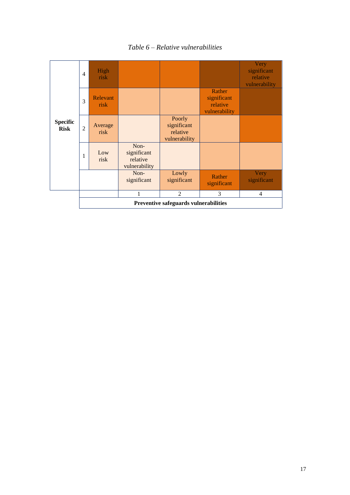

*Table 6 – Relative vulnerabilities*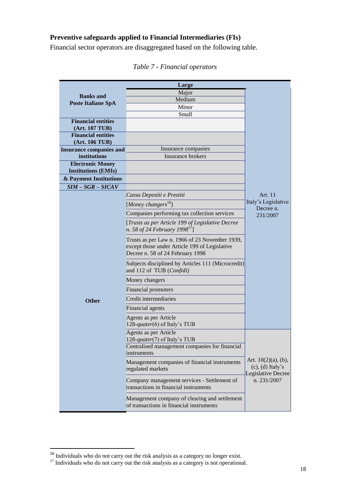# **Preventive safeguards applied to Financial Intermediaries (FIs)**

Financial sector operators are disaggregated based on the following table.

|                                             | Large                                                                                                                               |                                                                       |  |
|---------------------------------------------|-------------------------------------------------------------------------------------------------------------------------------------|-----------------------------------------------------------------------|--|
|                                             | Major                                                                                                                               |                                                                       |  |
| <b>Banks</b> and                            | Medium                                                                                                                              |                                                                       |  |
| <b>Poste Italiane SpA</b>                   | Minor                                                                                                                               |                                                                       |  |
|                                             | Small                                                                                                                               |                                                                       |  |
| <b>Financial entities</b>                   |                                                                                                                                     |                                                                       |  |
| (Art. 107 TUB)<br><b>Financial entities</b> |                                                                                                                                     |                                                                       |  |
| (Art. 106 TUB)                              |                                                                                                                                     |                                                                       |  |
| <b>Insurance companies and</b>              | Insurance companies                                                                                                                 |                                                                       |  |
| institutions                                | Insurance brokers                                                                                                                   |                                                                       |  |
| <b>Electronic Money</b>                     |                                                                                                                                     |                                                                       |  |
| <b>Institutions (EMIs)</b>                  |                                                                                                                                     |                                                                       |  |
| & Payment Institutions                      |                                                                                                                                     |                                                                       |  |
| $SIM - SGR - SICAV$                         |                                                                                                                                     |                                                                       |  |
|                                             | Cassa Depositi e Prestiti                                                                                                           | Art. 11<br>Italy's Legislative                                        |  |
|                                             | [Money changers <sup>16</sup> ]                                                                                                     | Decree n.                                                             |  |
|                                             | Companies performing tax collection services                                                                                        | 231/2007                                                              |  |
|                                             | [Trusts as per Article 199 of Legislative Decree<br>n. 58 of 24 February 1998 <sup>17</sup> ]                                       |                                                                       |  |
|                                             | Trusts as per Law n. 1966 of 23 November 1939,<br>except those under Article 199 of Legislative<br>Decree n. 58 of 24 February 1998 |                                                                       |  |
|                                             | Subjects disciplined by Articles 111 (Microcredit)<br>and 112 of TUB (Confidi)                                                      |                                                                       |  |
|                                             | Money changers                                                                                                                      |                                                                       |  |
|                                             | Financial promoters                                                                                                                 |                                                                       |  |
| <b>Other</b>                                | Credit intermediaries                                                                                                               |                                                                       |  |
|                                             | Financial agents                                                                                                                    |                                                                       |  |
|                                             | Agents as per Article<br>128-quater(6) of Italy's TUB                                                                               |                                                                       |  |
|                                             | Agents as per Article<br>128-quater(7) of Italy's TUB                                                                               |                                                                       |  |
|                                             | Centralised management companies for financial<br>instruments                                                                       |                                                                       |  |
|                                             | Management companies of financial instruments<br>regulated markets                                                                  | Art. $10(2)(a)$ , (b),<br>$(c)$ , $(d)$ Italy's<br>Legislative Decree |  |
|                                             | Company management services - Settlement of<br>transactions in financial instruments                                                | n. 231/2007                                                           |  |
|                                             | Management company of clearing and settlement<br>of transactions in financial instruments                                           |                                                                       |  |

# *Table 7 - Financial operators*

**.** 

 $16$  Individuals who do not carry out the risk analysis as a category no longer exist.

 $17$  Individuals who do not carry out the risk analysis as a category is not operational.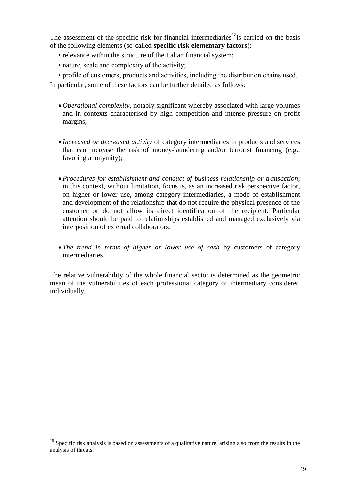The assessment of the specific risk for financial intermediaries<sup>18</sup>is carried on the basis of the following elements (so**-**called **specific risk elementary factors**):

- relevance within the structure of the Italian financial system;
- nature, scale and complexity of the activity;
- profile of customers, products and activities, including the distribution chains used.

In particular, some of these factors can be further detailed as follows:

- *Operational complexity*, notably significant whereby associated with large volumes and in contexts characterised by high competition and intense pressure on profit margins;
- *Increased or decreased activity* of category intermediaries in products and services that can increase the risk of money-laundering and/or terrorist financing (e.g., favoring anonymity);
- *Procedures for establishment and conduct of business relationship or transaction*; in this context, without limitation, focus is, as an increased risk perspective factor, on higher or lower use, among category intermediaries, a mode of establishment and development of the relationship that do not require the physical presence of the customer or do not allow its direct identification of the recipient. Particular attention should be paid to relationships established and managed exclusively via interposition of external collaborators;
- *The trend in terms of higher or lower use of cash* by customers of category intermediaries.

The relative vulnerability of the whole financial sector is determined as the geometric mean of the vulnerabilities of each professional category of intermediary considered individually.

1

 $18$  Specific risk analysis is based on assessments of a qualitative nature, arising also from the results in the analysis of threats.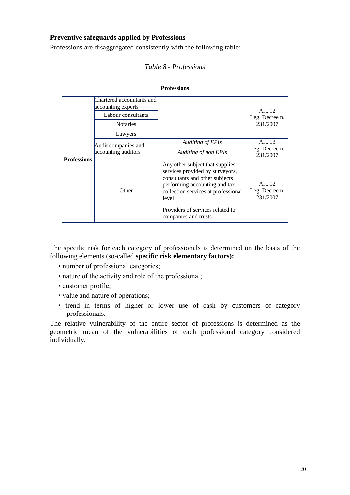# **Preventive safeguards applied by Professions**

Professions are disaggregated consistently with the following table:

| <b>Professions</b> |                                                 |                                                                                                                                                                                                                           |                                       |  |  |
|--------------------|-------------------------------------------------|---------------------------------------------------------------------------------------------------------------------------------------------------------------------------------------------------------------------------|---------------------------------------|--|--|
|                    | Chartered accountants and<br>accounting experts |                                                                                                                                                                                                                           | Art. 12                               |  |  |
|                    | Labour consultants                              |                                                                                                                                                                                                                           | Leg. Decree n.                        |  |  |
|                    | <b>Notaries</b>                                 |                                                                                                                                                                                                                           | 231/2007                              |  |  |
|                    | Lawyers                                         |                                                                                                                                                                                                                           |                                       |  |  |
|                    | Audit companies and                             | Auditing of EPIs                                                                                                                                                                                                          | Art. 13                               |  |  |
| <b>Professions</b> | accounting auditors                             | Auditing of non EPIs                                                                                                                                                                                                      | Leg. Decree n.<br>231/2007            |  |  |
|                    | Other                                           | Any other subject that supplies<br>services provided by surveyors,<br>consultants and other subjects<br>performing accounting and tax<br>collection services at professional<br>level<br>Providers of services related to | Art. 12<br>Leg. Decree n.<br>231/2007 |  |  |
|                    |                                                 | companies and trusts                                                                                                                                                                                                      |                                       |  |  |

*Table 8 - Professions*

The specific risk for each category of professionals is determined on the basis of the following elements (so-called **specific risk elementary factors):**

- number of professional categories;
- nature of the activity and role of the professional;
- customer profile;
- value and nature of operations;
- trend in terms of higher or lower use of cash by customers of category professionals.

The relative vulnerability of the entire sector of professions is determined as the geometric mean of the vulnerabilities of each professional category considered individually.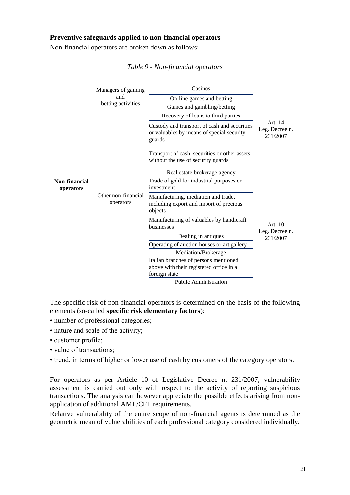# **Preventive safeguards applied to non-financial operators**

Non-financial operators are broken down as follows:

|                                   | Managers of gaming<br>and        | Casinos<br>On-line games and betting                                                                |                                       |
|-----------------------------------|----------------------------------|-----------------------------------------------------------------------------------------------------|---------------------------------------|
|                                   | betting activities               | Games and gambling/betting                                                                          |                                       |
|                                   |                                  | Recovery of loans to third parties                                                                  |                                       |
|                                   | Other non-financial<br>operators | Custody and transport of cash and securities<br>or valuables by means of special security<br>guards | Art. 14<br>Leg. Decree n.<br>231/2007 |
|                                   |                                  | Transport of cash, securities or other assets<br>without the use of security guards                 |                                       |
|                                   |                                  | Real estate brokerage agency                                                                        |                                       |
| <b>Non-financial</b><br>operators |                                  | Trade of gold for industrial purposes or<br>investment                                              | Art. 10<br>Leg. Decree n.<br>231/2007 |
|                                   |                                  | Manufacturing, mediation and trade,<br>including export and import of precious<br>objects           |                                       |
|                                   |                                  | Manufacturing of valuables by handicraft<br>businesses                                              |                                       |
|                                   |                                  | Dealing in antiques                                                                                 |                                       |
|                                   |                                  | Operating of auction houses or art gallery                                                          |                                       |
|                                   |                                  | Mediation/Brokerage                                                                                 |                                       |
|                                   |                                  | Italian branches of persons mentioned<br>above with their registered office in a<br>foreign state   |                                       |
|                                   |                                  | <b>Public Administration</b>                                                                        |                                       |

|  |  | Table 9 - Non-financial operators |
|--|--|-----------------------------------|
|  |  |                                   |

The specific risk of non-financial operators is determined on the basis of the following elements (so-called **specific risk elementary factors**):

- number of professional categories;
- nature and scale of the activity;
- customer profile;
- value of transactions;
- trend, in terms of higher or lower use of cash by customers of the category operators.

For operators as per Article 10 of Legislative Decree n. 231/2007, vulnerability assessment is carried out only with respect to the activity of reporting suspicious transactions. The analysis can however appreciate the possible effects arising from nonapplication of additional AML/CFT requirements.

Relative vulnerability of the entire scope of non-financial agents is determined as the geometric mean of vulnerabilities of each professional category considered individually.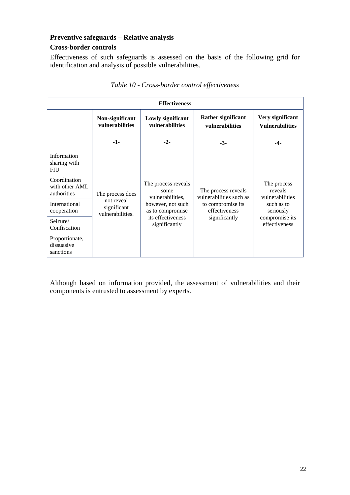# **Preventive safeguards – Relative analysis**

### **Cross-border controls**

Effectiveness of such safeguards is assessed on the basis of the following grid for identification and analysis of possible vulnerabilities.

| <b>Effectiveness</b>                          |                                                                   |                                                                                                                                |                                                                                                       |                                                                                                         |  |
|-----------------------------------------------|-------------------------------------------------------------------|--------------------------------------------------------------------------------------------------------------------------------|-------------------------------------------------------------------------------------------------------|---------------------------------------------------------------------------------------------------------|--|
|                                               | Non-significant<br>vulnerabilities                                | Lowly significant<br>vulnerabilities                                                                                           | Rather significant<br><b>vulnerabilities</b>                                                          | Very significant<br><b>Vulnerabilities</b>                                                              |  |
|                                               | -1-                                                               | $-2-$                                                                                                                          | $-3-$                                                                                                 | -4-                                                                                                     |  |
| Information<br>sharing with<br><b>FIU</b>     | The process does<br>not reveal<br>significant<br>vulnerabilities. | The process reveals<br>some<br>vulnerabilities,<br>however, not such<br>as to compromise<br>its effectiveness<br>significantly |                                                                                                       |                                                                                                         |  |
| Coordination<br>with other AML<br>authorities |                                                                   |                                                                                                                                | The process reveals<br>vulnerabilities such as<br>to compromise its<br>effectiveness<br>significantly | The process<br>reveals<br>vulnerabilities<br>such as to<br>seriously<br>compromise its<br>effectiveness |  |
| International<br>cooperation                  |                                                                   |                                                                                                                                |                                                                                                       |                                                                                                         |  |
| Seizure/<br>Confiscation                      |                                                                   |                                                                                                                                |                                                                                                       |                                                                                                         |  |
| Proportionate,<br>dissuasive<br>sanctions     |                                                                   |                                                                                                                                |                                                                                                       |                                                                                                         |  |

# *Table 10 - Cross-border control effectiveness*

Although based on information provided, the assessment of vulnerabilities and their components is entrusted to assessment by experts.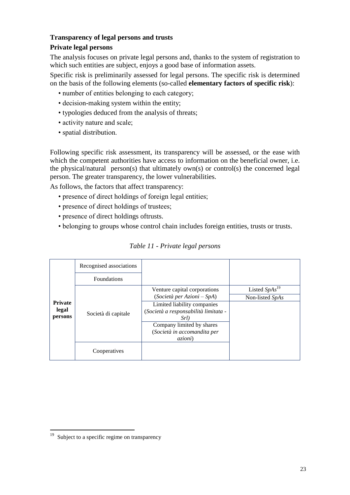## **Transparency of legal persons and trusts**

# **Private legal persons**

The analysis focuses on private legal persons and, thanks to the system of registration to which such entities are subject, enjoys a good base of information assets.

Specific risk is preliminarily assessed for legal persons. The specific risk is determined on the basis of the following elements (so-called **elementary factors of specific risk**):

- number of entities belonging to each category;
- decision-making system within the entity;
- typologies deduced from the analysis of threats;
- activity nature and scale;
- spatial distribution.

Following specific risk assessment, its transparency will be assessed, or the ease with which the competent authorities have access to information on the beneficial owner, i.e. the physical/natural person(s) that ultimately own(s) or control(s) the concerned legal person. The greater transparency, the lower vulnerabilities.

As follows, the factors that affect transparency:

- presence of direct holdings of foreign legal entities;
- presence of direct holdings of trustees;
- presence of direct holdings oftrusts.
- belonging to groups whose control chain includes foreign entities, trusts or trusts.

|                | Recognised associations |                                      |                    |
|----------------|-------------------------|--------------------------------------|--------------------|
|                | <b>Foundations</b>      |                                      |                    |
|                | Società di capitale     | Venture capital corporations         | Listed $SpAs^{19}$ |
|                |                         | $(Soci {et\`a} per Azioni - SpA)$    | Non-listed SpAs    |
| <b>Private</b> |                         | Limited liability companies          |                    |
| legal          |                         | (Società a responsabilità limitata - |                    |
| persons        |                         | Srl)                                 |                    |
|                |                         | Company limited by shares            |                    |
|                |                         | (Società in accomandita per          |                    |
|                |                         | <i>azioni</i> )                      |                    |
|                | Cooperatives            |                                      |                    |

### *Table 11 - Private legal persons*

 $\frac{1}{19}$ Subject to a specific regime on transparency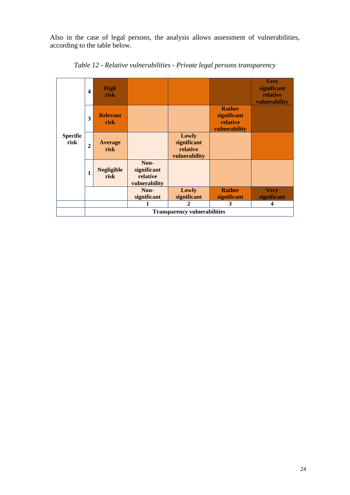Also in the case of legal persons, the analysis allows assessment of vulnerabilities, according to the table below.



*Table 12 - Relative vulnerabilities - Private legal persons transparency*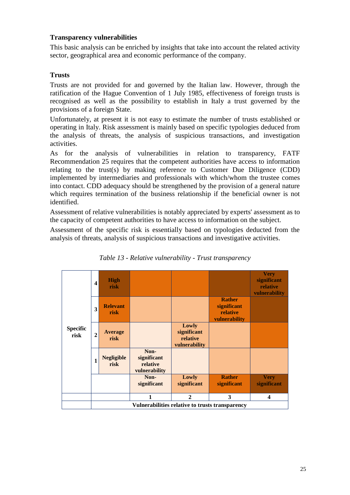# **Transparency vulnerabilities**

This basic analysis can be enriched by insights that take into account the related activity sector, geographical area and economic performance of the company.

# **Trusts**

Trusts are not provided for and governed by the Italian law. However, through the ratification of the Hague Convention of 1 July 1985, effectiveness of foreign trusts is recognised as well as the possibility to establish in Italy a trust governed by the provisions of a foreign State.

Unfortunately, at present it is not easy to estimate the number of trusts established or operating in Italy. Risk assessment is mainly based on specific typologies deduced from the analysis of threats, the analysis of suspicious transactions, and investigation activities.

As for the analysis of vulnerabilities in relation to transparency, FATF Recommendation 25 requires that the competent authorities have access to information relating to the trust(s) by making reference to Customer Due Diligence (CDD) implemented by intermediaries and professionals with which/whom the trustee comes into contact. CDD adequacy should be strengthened by the provision of a general nature which requires termination of the business relationship if the beneficial owner is not identified.

Assessment of relative vulnerabilities is notably appreciated by experts' assessment as to the capacity of competent authorities to have access to information on the subject.

Assessment of the specific risk is essentially based on typologies deducted from the analysis of threats, analysis of suspicious transactions and investigative activities.

| <b>Specific</b><br>risk | $\boldsymbol{4}$ | <b>High</b><br>risk                             |                                                  |                                                   |                                                           | <b>Very</b><br>significant<br>relative<br>vulnerability |  |
|-------------------------|------------------|-------------------------------------------------|--------------------------------------------------|---------------------------------------------------|-----------------------------------------------------------|---------------------------------------------------------|--|
|                         | 3                | <b>Relevant</b><br>risk                         |                                                  |                                                   | <b>Rather</b><br>significant<br>relative<br>vulnerability |                                                         |  |
|                         | $\overline{2}$   | Average<br>risk                                 |                                                  | Lowly<br>significant<br>relative<br>vulnerability |                                                           |                                                         |  |
|                         | 1                | <b>Negligible</b><br>risk                       | Non-<br>significant<br>relative<br>vulnerability |                                                   |                                                           |                                                         |  |
|                         |                  |                                                 | Non-<br>significant                              | Lowly<br>significant                              | <b>Rather</b><br>significant                              | <b>Very</b><br>significant                              |  |
|                         |                  |                                                 | 1                                                | $\mathbf{2}$                                      | 3                                                         | $\overline{\mathbf{4}}$                                 |  |
|                         |                  | Vulnerabilities relative to trusts transparency |                                                  |                                                   |                                                           |                                                         |  |

*Table 13 - Relative vulnerability - Trust transparency*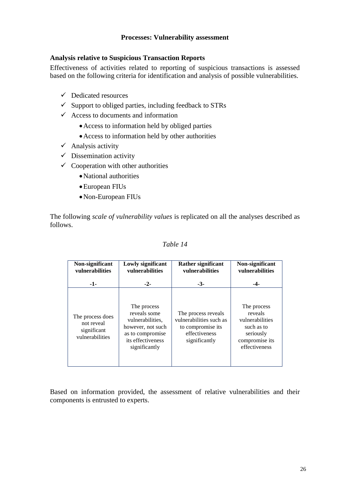### **Processes: Vulnerability assessment**

### **Analysis relative to Suspicious Transaction Reports**

Effectiveness of activities related to reporting of suspicious transactions is assessed based on the following criteria for identification and analysis of possible vulnerabilities.

- $\checkmark$  Dedicated resources
- $\checkmark$  Support to obliged parties, including feedback to STRs
- $\checkmark$  Access to documents and information
	- Access to information held by obliged parties
	- Access to information held by other authorities
- $\checkmark$  Analysis activity
- $\checkmark$  Dissemination activity
- $\checkmark$  Cooperation with other authorities
	- National authorities
	- European FIUs
	- Non-European FIUs

The following *scale of vulnerability values* is replicated on all the analyses described as follows.

| Non-significant<br><b>vulnerabilities</b>                        | Lowly significant<br><b>vulnerabilities</b>                                                                                    | <b>Rather significant</b><br><b>vulnerabilities</b>                                                   | Non-significant<br><b>vulnerabilities</b>                                                               |
|------------------------------------------------------------------|--------------------------------------------------------------------------------------------------------------------------------|-------------------------------------------------------------------------------------------------------|---------------------------------------------------------------------------------------------------------|
| $-1-$                                                            | $-2-$                                                                                                                          | $-3-$                                                                                                 | -4-                                                                                                     |
| The process does<br>not reveal<br>significant<br>vulnerabilities | The process<br>reveals some<br>vulnerabilities.<br>however, not such<br>as to compromise<br>its effectiveness<br>significantly | The process reveals<br>vulnerabilities such as<br>to compromise its<br>effectiveness<br>significantly | The process<br>reveals<br>vulnerabilities<br>such as to<br>seriously<br>compromise its<br>effectiveness |

### *Table 14*

Based on information provided, the assessment of relative vulnerabilities and their components is entrusted to experts.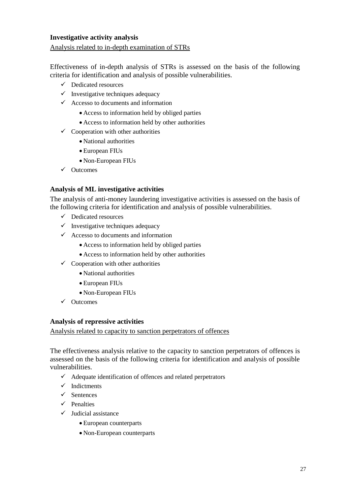## **Investigative activity analysis**

### Analysis related to in-depth examination of STRs

Effectiveness of in-depth analysis of STRs is assessed on the basis of the following criteria for identification and analysis of possible vulnerabilities.

- $\checkmark$  Dedicated resources
- $\checkmark$  Investigative techniques adequacy
- $\checkmark$  Accesso to documents and information
	- Access to information held by obliged parties
	- Access to information held by other authorities
- $\checkmark$  Cooperation with other authorities
	- National authorities
	- European FIUs
	- Non-European FIUs
- $\checkmark$  Outcomes

### **Analysis of ML investigative activities**

The analysis of anti-money laundering investigative activities is assessed on the basis of the following criteria for identification and analysis of possible vulnerabilities.

- $\checkmark$  Dedicated resources
- $\checkmark$  Investigative techniques adequacy
- $\checkmark$  Accesso to documents and information
	- Access to information held by obliged parties
	- Access to information held by other authorities
- $\checkmark$  Cooperation with other authorities
	- National authorities
	- European FIUs
	- Non-European FIUs
- $\checkmark$  Outcomes

### **Analysis of repressive activities**

Analysis related to capacity to sanction perpetrators of offences

The effectiveness analysis relative to the capacity to sanction perpetrators of offences is assessed on the basis of the following criteria for identification and analysis of possible vulnerabilities.

- $\checkmark$  Adequate identification of offences and related perpetrators
- $\checkmark$  Indictments
- $\checkmark$  Sentences
- $\checkmark$  Penalties
- $\checkmark$  Judicial assistance
	- European counterparts
	- Non-European counterparts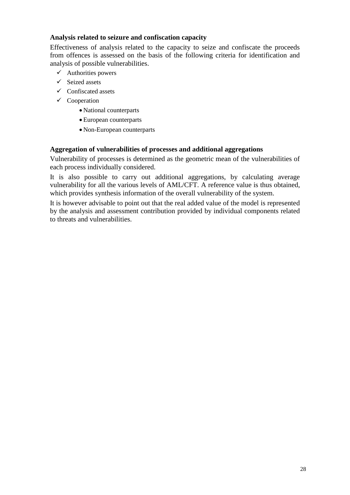## **Analysis related to seizure and confiscation capacity**

Effectiveness of analysis related to the capacity to seize and confiscate the proceeds from offences is assessed on the basis of the following criteria for identification and analysis of possible vulnerabilities.

- $\checkmark$  Authorities powers
- $\checkmark$  Seized assets
- $\checkmark$  Confiscated assets
- $\checkmark$  Cooperation
	- National counterparts
	- European counterparts
	- Non-European counterparts

### **Aggregation of vulnerabilities of processes and additional aggregations**

Vulnerability of processes is determined as the geometric mean of the vulnerabilities of each process individually considered.

It is also possible to carry out additional aggregations, by calculating average vulnerability for all the various levels of AML/CFT. A reference value is thus obtained, which provides synthesis information of the overall vulnerability of the system.

It is however advisable to point out that the real added value of the model is represented by the analysis and assessment contribution provided by individual components related to threats and vulnerabilities.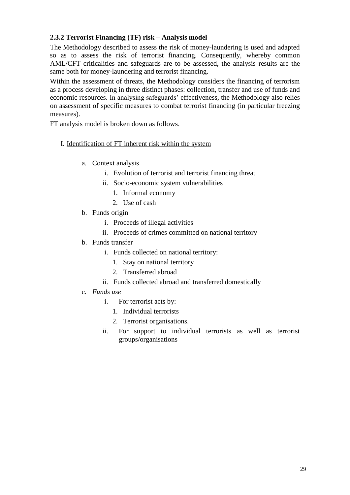# <span id="page-28-0"></span>**2.3.2 Terrorist Financing (TF) risk – Analysis model**

The Methodology described to assess the risk of money-laundering is used and adapted so as to assess the risk of terrorist financing. Consequently, whereby common AML/CFT criticalities and safeguards are to be assessed, the analysis results are the same both for money-laundering and terrorist financing.

Within the assessment of threats, the Methodology considers the financing of terrorism as a process developing in three distinct phases: collection, transfer and use of funds and economic resources. In analysing safeguards' effectiveness, the Methodology also relies on assessment of specific measures to combat terrorist financing (in particular freezing measures).

FT analysis model is broken down as follows.

### I. Identification of FT inherent risk within the system

- a. Context analysis
	- i. Evolution of terrorist and terrorist financing threat
	- ii. Socio-economic system vulnerabilities
		- 1. Informal economy
		- 2. Use of cash
- b. Funds origin
	- i. Proceeds of illegal activities
	- ii. Proceeds of crimes committed on national territory
- b. Funds transfer
	- i. Funds collected on national territory:
		- 1. Stay on national territory
		- 2. Transferred abroad
	- ii. Funds collected abroad and transferred domestically
- *c. Funds use*
	- i. For terrorist acts by:
		- 1. Individual terrorists
		- 2. Terrorist organisations.
	- ii. For support to individual terrorists as well as terrorist groups/organisations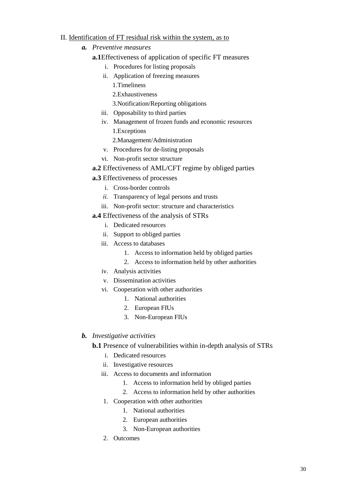### II. Identification of FT residual risk within the system, as to

- *a. Preventive measures*
	- **a.1**Effectiveness of application of specific FT measures
		- i. Procedures for listing proposals
		- ii. Application of freezing measures
			- 1.Timeliness
			- 2.Exhaustiveness
			- 3.Notification/Reporting obligations
		- iii. Opposability to third parties
		- iv. Management of frozen funds and economic resources 1.Exceptions
			- 2.Management/Administration
		- v. Procedures for de-listing proposals
		- vi. Non-profit sector structure
	- **a.2** Effectiveness of AML/CFT regime by obliged parties
	- **a.3** Effectiveness of processes
		- i. Cross-border controls
		- *ii.* Transparency of legal persons and trusts
		- iii. Non-profit sector: structure and characteristics
	- **a.4** Effectiveness of the analysis of STRs
		- i. Dedicated resources
		- ii. Support to obliged parties
		- iii. Access to databases
			- 1. Access to information held by obliged parties
			- 2. Access to information held by other authorities
		- iv. Analysis activities
		- v. Dissemination activities
		- vi. Cooperation with other authorities
			- 1. National authorities
			- 2. European FIUs
			- 3. Non**-**European FIUs

## *b. Investigative activities*

**b.1** Presence of vulnerabilities within in-depth analysis of STRs

- i. Dedicated resources
- ii. Investigative resources
- iii. Access to documents and information
	- 1. Access to information held by obliged parties
	- 2. Access to information held by other authorities
- 1. Cooperation with other authorities
	- 1. National authorities
		- 2. European authorities
		- 3. Non-European authorities
- 2. Outcomes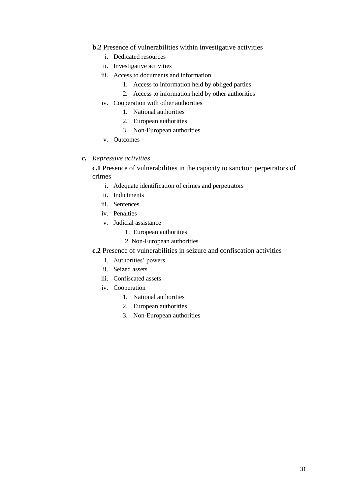- **b.2** Presence of vulnerabilities within investigative activities
	- i. Dedicated resources
	- ii. Investigative activities
	- iii. Access to documents and information
		- 1. Access to information held by obliged parties
		- 2. Access to information held by other authorities
	- iv. Cooperation with other authorities
		- 1. National authorities
		- 2. European authorities
		- 3. Non-European authorities
	- v. Outcomes
- *c. Repressive activities*

**c.1** Presence of vulnerabilities in the capacity to sanction perpetrators of crimes

- i. Adequate identification of crimes and perpetrators
- ii. Indictments
- iii. Sentences
- iv. Penalties
- v. Judicial assistance
	- 1. European authorities
	- 2. Non-European authorities
- <span id="page-30-0"></span>**c.2** Presence of vulnerabilities in seizure and confiscation activities
	- i. Authorities' powers
	- ii. Seized assets
	- iii. Confiscated assets
	- iv. Cooperation
		- 1. National authorities
		- 2. European authorities
		- 3. Non-European authorities